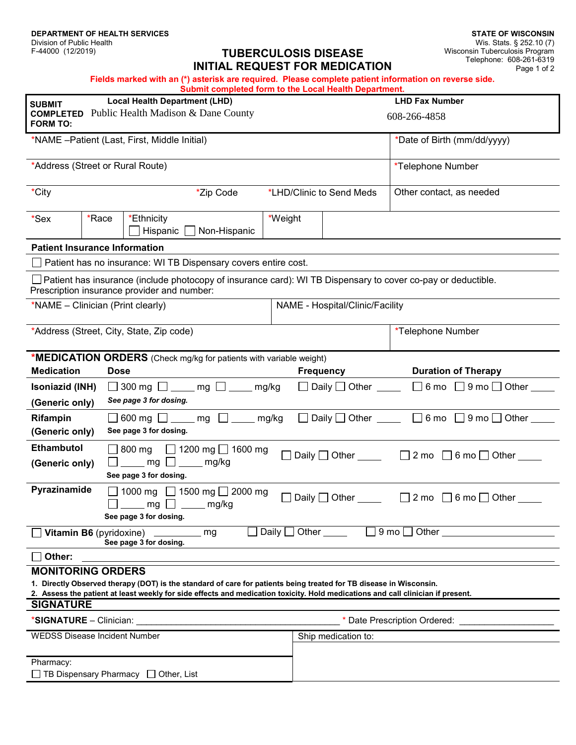# **TUBERCULOSIS DISEASE**

**STATE OF WISCONSIN** Wis. Stats. § 252.10 (7) Wisconsin Tuberculosis Program Telephone: 608-261-6319 Page 1 of 2

| INITIAL REQUEST FOR MEDICATION |
|--------------------------------|
|--------------------------------|

| Fields marked with an (*) asterisk are required. Please complete patient information on reverse side. |
|-------------------------------------------------------------------------------------------------------|
| <b>Submit completed form to the Local Health Department.</b>                                          |

| <b>SUBMIT</b>                                                                                                                                                              | <b>LHD Fax Number</b><br><b>Local Health Department (LHD)</b>                                                                                                                                            |                                                                    |         |                                  |                                             |
|----------------------------------------------------------------------------------------------------------------------------------------------------------------------------|----------------------------------------------------------------------------------------------------------------------------------------------------------------------------------------------------------|--------------------------------------------------------------------|---------|----------------------------------|---------------------------------------------|
| <b>COMPLETED</b><br><b>FORM TO:</b>                                                                                                                                        | Public Health Madison & Dane County<br>608-266-4858                                                                                                                                                      |                                                                    |         |                                  |                                             |
|                                                                                                                                                                            | *NAME - Patient (Last, First, Middle Initial)<br>*Date of Birth (mm/dd/yyyy)                                                                                                                             |                                                                    |         |                                  |                                             |
| *Address (Street or Rural Route)                                                                                                                                           |                                                                                                                                                                                                          |                                                                    |         |                                  | *Telephone Number                           |
| *City                                                                                                                                                                      |                                                                                                                                                                                                          | *Zip Code                                                          |         | *LHD/Clinic to Send Meds         | Other contact, as needed                    |
| *Sex                                                                                                                                                                       | *Race                                                                                                                                                                                                    | *Ethnicity<br>Hispanic<br>Non-Hispanic                             | *Weight |                                  |                                             |
| <b>Patient Insurance Information</b>                                                                                                                                       |                                                                                                                                                                                                          |                                                                    |         |                                  |                                             |
|                                                                                                                                                                            |                                                                                                                                                                                                          | Patient has no insurance: WI TB Dispensary covers entire cost.     |         |                                  |                                             |
|                                                                                                                                                                            |                                                                                                                                                                                                          | Prescription insurance provider and number:                        |         |                                  |                                             |
| *NAME - Clinician (Print clearly)                                                                                                                                          |                                                                                                                                                                                                          |                                                                    |         | NAME - Hospital/Clinic/Facility  |                                             |
|                                                                                                                                                                            |                                                                                                                                                                                                          | *Address (Street, City, State, Zip code)                           |         |                                  | *Telephone Number                           |
|                                                                                                                                                                            |                                                                                                                                                                                                          | *MEDICATION ORDERS (Check mg/kg for patients with variable weight) |         |                                  |                                             |
| <b>Medication</b>                                                                                                                                                          |                                                                                                                                                                                                          | <b>Dose</b>                                                        |         | <b>Frequency</b>                 | <b>Duration of Therapy</b>                  |
| Isoniazid (INH)                                                                                                                                                            |                                                                                                                                                                                                          | $\Box$ 300 mg $\Box$ mg $\Box$ mg/kg                               |         | $\Box$ Daily $\Box$ Other $\Box$ | $\Box$ 6 mo $\Box$ 9 mo $\Box$ Other $\Box$ |
| (Generic only)                                                                                                                                                             |                                                                                                                                                                                                          | See page 3 for dosing.                                             |         |                                  |                                             |
| Rifampin<br>(Generic only)                                                                                                                                                 |                                                                                                                                                                                                          | $\Box$ 600 mg $\Box$ mg<br>$\Box$ mg/kg<br>See page 3 for dosing.  |         |                                  | □ Daily □ Other _____ □ 6 mo □ 9 mo □ Other |
| <b>Ethambutol</b>                                                                                                                                                          | $\Box$ 800 mg $\Box$ 1200 mg $\Box$ 1600 mg<br>Daily $\Box$ Other $\_\_\_\_\_\_\_\$<br>$\Box$ 2 mo $\Box$ 6 mo $\Box$ Other $\Box$<br>$\Box$ mg $\Box$ mg/kg<br>(Generic only)<br>See page 3 for dosing. |                                                                    |         |                                  |                                             |
| Pyrazinamide<br>$\Box$ 1000 mg $\Box$ 1500 mg $\Box$ 2000 mg<br>Daily $\Box$ Other<br>$\Box$ 2 mo $\Box$ 6 mo $\Box$ Other<br>See page 3 for dosing.                       |                                                                                                                                                                                                          |                                                                    |         |                                  |                                             |
| $\Box$ 9 mo $\Box$ Other $\Box$<br>Daily $\Box$ Other $\_\_\_\_\_\_\_\$<br><b>Vitamin B6</b> (pyridoxine) $\overline{\phantom{a}}$<br>_______ mg<br>See page 3 for dosing. |                                                                                                                                                                                                          |                                                                    |         |                                  |                                             |
| Other:                                                                                                                                                                     |                                                                                                                                                                                                          |                                                                    |         |                                  |                                             |
| <b>MONITORING ORDERS</b>                                                                                                                                                   |                                                                                                                                                                                                          |                                                                    |         |                                  |                                             |
| 1. Directly Observed therapy (DOT) is the standard of care for patients being treated for TB disease in Wisconsin.                                                         |                                                                                                                                                                                                          |                                                                    |         |                                  |                                             |
| 2. Assess the patient at least weekly for side effects and medication toxicity. Hold medications and call clinician if present.<br><b>SIGNATURE</b>                        |                                                                                                                                                                                                          |                                                                    |         |                                  |                                             |
| <b>*SIGNATURE</b> – Clinician:                                                                                                                                             |                                                                                                                                                                                                          |                                                                    |         |                                  | * Date Prescription Ordered:                |
| <b>WEDSS Disease Incident Number</b>                                                                                                                                       |                                                                                                                                                                                                          |                                                                    |         | Ship medication to:              |                                             |
|                                                                                                                                                                            |                                                                                                                                                                                                          |                                                                    |         |                                  |                                             |
| Pharmacy:                                                                                                                                                                  | □ TB Dispensary Pharmacy □ Other, List                                                                                                                                                                   |                                                                    |         |                                  |                                             |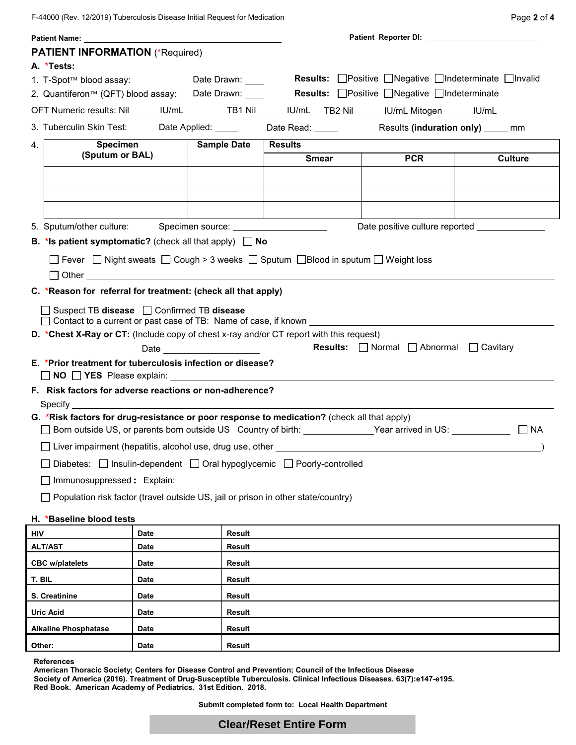F-44000 (Rev. 12/2019) Tuberculosis Disease Initial Request for Medication

| Page 2 of 4 |  |
|-------------|--|
|-------------|--|

| <b>Patient Name:</b> Name:                                                                                                                                                                                                    |                                                                                                                                                                                                                                |                |                                                  |                |  |
|-------------------------------------------------------------------------------------------------------------------------------------------------------------------------------------------------------------------------------|--------------------------------------------------------------------------------------------------------------------------------------------------------------------------------------------------------------------------------|----------------|--------------------------------------------------|----------------|--|
| <b>PATIENT INFORMATION (*Required)</b>                                                                                                                                                                                        |                                                                                                                                                                                                                                |                |                                                  |                |  |
| A. *Tests:                                                                                                                                                                                                                    |                                                                                                                                                                                                                                |                |                                                  |                |  |
| 1. T-Spot™ blood assay:                                                                                                                                                                                                       | Date Drawn: ___                                                                                                                                                                                                                |                | Results: Positive Negative Indeterminate Invalid |                |  |
| 2. Quantiferon™ (QFT) blood assay: Date Drawn: ____                                                                                                                                                                           |                                                                                                                                                                                                                                |                | <b>Results:</b> Positive Negative Indeterminate  |                |  |
|                                                                                                                                                                                                                               |                                                                                                                                                                                                                                |                |                                                  |                |  |
| 3. Tuberculin Skin Test: Date Applied: 1997                                                                                                                                                                                   |                                                                                                                                                                                                                                |                |                                                  |                |  |
| Specimen<br>4.                                                                                                                                                                                                                | <b>Sample Date</b>                                                                                                                                                                                                             | <b>Results</b> |                                                  |                |  |
| (Sputum or BAL)                                                                                                                                                                                                               |                                                                                                                                                                                                                                | Smear          | <b>PCR</b>                                       | <b>Culture</b> |  |
|                                                                                                                                                                                                                               |                                                                                                                                                                                                                                |                |                                                  |                |  |
|                                                                                                                                                                                                                               |                                                                                                                                                                                                                                |                |                                                  |                |  |
|                                                                                                                                                                                                                               |                                                                                                                                                                                                                                |                |                                                  |                |  |
| 5. Sputum/other culture: Specimen source: Speciment Community Community Speciment Superson                                                                                                                                    |                                                                                                                                                                                                                                |                |                                                  |                |  |
| <b>B.</b> *Is patient symptomatic? (check all that apply) $\Box$ No                                                                                                                                                           |                                                                                                                                                                                                                                |                |                                                  |                |  |
| $\Box$ Fever $\Box$ Night sweats $\Box$ Cough > 3 weeks $\Box$ Sputum $\Box$ Blood in sputum $\Box$ Weight loss                                                                                                               |                                                                                                                                                                                                                                |                |                                                  |                |  |
|                                                                                                                                                                                                                               |                                                                                                                                                                                                                                |                |                                                  |                |  |
| $\Box$ Other $\Box$<br>C. *Reason for referral for treatment: (check all that apply)                                                                                                                                          |                                                                                                                                                                                                                                |                |                                                  |                |  |
|                                                                                                                                                                                                                               |                                                                                                                                                                                                                                |                |                                                  |                |  |
| □ Suspect TB disease □ Confirmed TB disease<br>□ Contact to a current or past case of TB: Name of case, if known                                                                                                              |                                                                                                                                                                                                                                |                |                                                  |                |  |
| D. *Chest X-Ray or CT: (Include copy of chest x-ray and/or CT report with this request)                                                                                                                                       |                                                                                                                                                                                                                                |                |                                                  |                |  |
|                                                                                                                                                                                                                               | Date and the state of the state of the state of the state of the state of the state of the state of the state of the state of the state of the state of the state of the state of the state of the state of the state of the s |                | <b>Results:</b> Normal Abnormal Cavitary         |                |  |
| E. *Prior treatment for tuberculosis infection or disease?                                                                                                                                                                    |                                                                                                                                                                                                                                |                |                                                  |                |  |
| F. Risk factors for adverse reactions or non-adherence?                                                                                                                                                                       |                                                                                                                                                                                                                                |                |                                                  |                |  |
|                                                                                                                                                                                                                               |                                                                                                                                                                                                                                |                |                                                  |                |  |
| G. *Risk factors for drug-resistance or poor response to medication? (check all that apply)<br>□ Born outside US, or parents born outside US Country of birth: ______________Year arrived in US: ___________ □ NA             |                                                                                                                                                                                                                                |                |                                                  |                |  |
|                                                                                                                                                                                                                               |                                                                                                                                                                                                                                |                |                                                  |                |  |
| □ Liver impairment (hepatitis, alcohol use, drug use, other example and and all the control of the control of the control of the control of the control of the control of the control of the control of the control of the co |                                                                                                                                                                                                                                |                |                                                  |                |  |
| □ Diabetes: □ Insulin-dependent □ Oral hypoglycemic □ Poorly-controlled                                                                                                                                                       |                                                                                                                                                                                                                                |                |                                                  |                |  |
|                                                                                                                                                                                                                               |                                                                                                                                                                                                                                |                |                                                  |                |  |
| $\Box$ Population risk factor (travel outside US, jail or prison in other state/country)                                                                                                                                      |                                                                                                                                                                                                                                |                |                                                  |                |  |
|                                                                                                                                                                                                                               |                                                                                                                                                                                                                                |                |                                                  |                |  |

#### **H. \*Baseline blood tests**

| <b>HIV</b>                  | <b>Date</b> | <b>Result</b> |
|-----------------------------|-------------|---------------|
| <b>ALT/AST</b>              | <b>Date</b> | <b>Result</b> |
| <b>CBC</b> w/platelets      | <b>Date</b> | <b>Result</b> |
| T. BIL                      | <b>Date</b> | <b>Result</b> |
| S. Creatinine               | <b>Date</b> | <b>Result</b> |
| <b>Uric Acid</b>            | <b>Date</b> | <b>Result</b> |
| <b>Alkaline Phosphatase</b> | <b>Date</b> | <b>Result</b> |
| Other:                      | <b>Date</b> | <b>Result</b> |

#### **References**

**American Thoracic Society; Centers for Disease Control and Prevention; Council of the Infectious Disease Society of America (2016). Treatment of Drug-Susceptible Tuberculosis. Clinical Infectious Diseases. 63(7):e147-e195. Red Book. American Academy of Pediatrics. 31st Edition. 2018.**

**Submit completed form to: Local Health Department**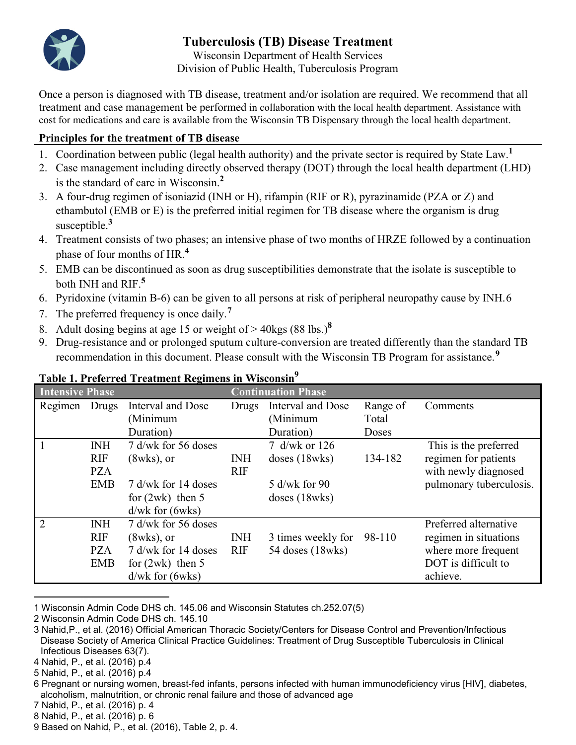

# **Tuberculosis (TB) Disease Treatment**

Wisconsin Department of Health Services Division of Public Health, Tuberculosis Program

Once a person is diagnosed with TB disease, treatment and/or isolation are required. We recommend that all treatment and case management be performed in collaboration with the local health department. Assistance with cost for medications and care is available from the Wisconsin TB Dispensary through the local health department.

#### **Principles for the treatment of TB disease**

- 1. Coordination between public (legal health authority) and the private sector is required by State Law.**[1](#page-2-0)**
- 2. Case management including directly observed therapy (DOT) through the local health department (LHD) is the standard of care in Wisconsin.**[2](#page-2-1)**
- 3. A four-drug regimen of isoniazid (INH or H), rifampin (RIF or R), pyrazinamide (PZA or Z) and ethambutol (EMB or E) is the preferred initial regimen for TB disease where the organism is drug susceptible.**[3](#page-2-2)**
- 4. Treatment consists of two phases; an intensive phase of two months of HRZE followed by a continuation phase of four months of HR.**[4](#page-2-3)**
- 5. EMB can be discontinued as soon as drug susceptibilities demonstrate that the isolate is susceptible to both INH and RIF.**[5](#page-2-4)**
- 6. Pyridoxine (vitamin B-6) can be given to all persons at risk of peripheral neuropathy cause by INH.[6](#page-2-5)
- 7. The preferred frequency is once daily. **[7](#page-2-6)**
- 8. Adult dosing begins at age 15 or weight of > 40kgs (88 lbs.)**[8](#page-2-7)**
- 9. Drug-resistance and or prolonged sputum culture-conversion are treated differently than the standard TB recommendation in this document. Please consult with the Wisconsin TB Program for assistance.**[9](#page-2-8)**

| таріс 1, 1 гентра ті сапінсің технісік ін ттірсонуш | Intensive Phase<br><b>Continuation Phase</b> |                     |            |                    |          |                         |
|-----------------------------------------------------|----------------------------------------------|---------------------|------------|--------------------|----------|-------------------------|
| Regimen                                             | Drugs                                        | Interval and Dose   | Drugs      | Interval and Dose  | Range of | Comments                |
|                                                     |                                              | (Minimum            |            | (Minimum           | Total    |                         |
|                                                     |                                              | Duration)           |            | Duration)          | Doses    |                         |
|                                                     | <b>INH</b>                                   | 7 d/wk for 56 doses |            | 7 d/wk or $126$    |          | This is the preferred   |
|                                                     | RIF                                          | $(8wks)$ , or       | <b>INH</b> | doses (18wks)      | 134-182  | regimen for patients    |
|                                                     | <b>PZA</b>                                   |                     | <b>RIF</b> |                    |          | with newly diagnosed    |
|                                                     | <b>EMB</b>                                   | 7 d/wk for 14 doses |            | 5 d/wk for $90$    |          | pulmonary tuberculosis. |
|                                                     |                                              | for $(2wk)$ then 5  |            | doses (18wks)      |          |                         |
|                                                     |                                              | $d/wk$ for $(6wks)$ |            |                    |          |                         |
| $\overline{2}$                                      | <b>INH</b>                                   | 7 d/wk for 56 doses |            |                    |          | Preferred alternative   |
|                                                     | <b>RIF</b>                                   | $(8wks)$ , or       | <b>INH</b> | 3 times weekly for | 98-110   | regimen in situations   |
|                                                     | <b>PZA</b>                                   | 7 d/wk for 14 doses | <b>RIF</b> | 54 doses (18wks)   |          | where more frequent     |
|                                                     | <b>EMB</b>                                   | for $(2wk)$ then 5  |            |                    |          | DOT is difficult to     |
|                                                     |                                              | $d/wk$ for $(6wks)$ |            |                    |          | achieve.                |

## **Table 1. Preferred Treatment Regimens in Wisconsin<sup>9</sup>**

<span id="page-2-0"></span>1 Wisconsin Admin Code DHS ch. 145.06 and Wisconsin Statutes ch.252.07(5)

<span id="page-2-3"></span>4 Nahid, P., et al. (2016) p.4

<span id="page-2-1"></span><sup>2</sup> Wisconsin Admin Code DHS ch. 145.10

<span id="page-2-2"></span><sup>3</sup> Nahid,P., et al. (2016) Official American Thoracic Society/Centers for Disease Control and Prevention/Infectious Disease Society of America Clinical Practice Guidelines: Treatment of Drug Susceptible Tuberculosis in Clinical Infectious Diseases 63(7).

<span id="page-2-4"></span><sup>5</sup> Nahid, P., et al. (2016) p.4

<span id="page-2-5"></span><sup>6</sup> Pregnant or nursing women, breast-fed infants, persons infected with human immunodeficiency virus [HIV], diabetes, alcoholism, malnutrition, or chronic renal failure and those of advanced age

<span id="page-2-6"></span><sup>7</sup> Nahid, P., et al. (2016) p. 4

<span id="page-2-7"></span><sup>8</sup> Nahid, P., et al. (2016) p. 6

<span id="page-2-8"></span><sup>9</sup> Based on Nahid, P., et al. (2016), Table 2, p. 4.